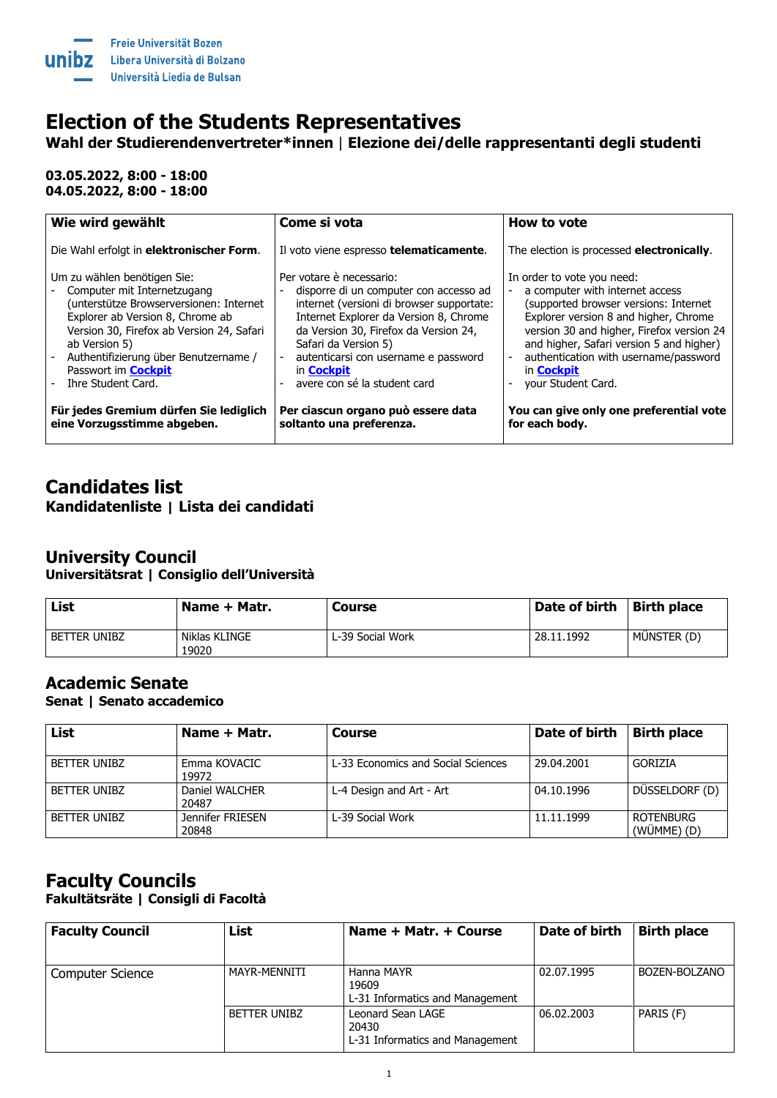

# **Election of the Students Representatives**

**Wahl der Studierendenvertreter\*innen** | **Elezione dei/delle rappresentanti degli studenti**

**03.05.2022, 8:00 - 18:00 04.05.2022, 8:00 - 18:00**

| Wie wird gewählt                          | Come si vota                              | How to vote                               |
|-------------------------------------------|-------------------------------------------|-------------------------------------------|
| Die Wahl erfolgt in elektronischer Form.  | Il voto viene espresso telematicamente.   | The election is processed electronically. |
| Um zu wählen benötigen Sie:               | Per votare è necessario:                  | In order to vote you need:                |
| Computer mit Internetzugang               | disporre di un computer con accesso ad    | a computer with internet access           |
| (unterstütze Browserversionen: Internet   | internet (versioni di browser supportate: | (supported browser versions: Internet     |
| Explorer ab Version 8, Chrome ab          | Internet Explorer da Version 8, Chrome    | Explorer version 8 and higher, Chrome     |
| Version 30, Firefox ab Version 24, Safari | da Version 30, Firefox da Version 24,     | version 30 and higher, Firefox version 24 |
| ab Version 5)                             | Safari da Version 5)                      | and higher, Safari version 5 and higher)  |
| Authentifizierung über Benutzername /     | autenticarsi con username e password      | authentication with username/password     |
| Passwort im <b>Cockpit</b>                | in <b>Cockpit</b>                         | in <b>Cockpit</b>                         |
| Ihre Student Card.                        | avere con sé la student card              | your Student Card.                        |
| Für jedes Gremium dürfen Sie lediglich    | Per ciascun organo può essere data        | You can give only one preferential vote   |
| eine Vorzugsstimme abgeben.               | soltanto una preferenza.                  | for each body.                            |

## **Candidates list Kandidatenliste | Lista dei candidati**

## **University Council**

**Universitätsrat | Consiglio dell'Università**

| List                | Name + Matr.           | <b>Course</b>    | Date of birth | <b>Birth place</b> |
|---------------------|------------------------|------------------|---------------|--------------------|
| <b>BETTER UNIBZ</b> | Niklas KLINGE<br>19020 | L-39 Social Work | 28.11.1992    | MÜNSTER (D)        |

#### **Academic Senate**

**Senat | Senato accademico**

| List                | Name + Matr.              | <b>Course</b>                      | Date of birth | <b>Birth place</b>             |
|---------------------|---------------------------|------------------------------------|---------------|--------------------------------|
| <b>BETTER UNIBZ</b> | Emma KOVACIC<br>19972     | L-33 Economics and Social Sciences | 29.04.2001    | <b>GORIZIA</b>                 |
| <b>BETTER UNIBZ</b> | Daniel WALCHER<br>20487   | L-4 Design and Art - Art           | 04.10.1996    | DÜSSELDORF (D)                 |
| <b>BETTER UNIBZ</b> | Jennifer FRIESEN<br>20848 | L-39 Social Work                   | 11.11.1999    | <b>ROTENBURG</b><br>(WÜMME)(D) |

#### **Faculty Councils Fakultätsräte | Consigli di Facoltà**

| <b>Faculty Council</b>  | List                | Name + Matr. + Course                                         | Date of birth | <b>Birth place</b> |
|-------------------------|---------------------|---------------------------------------------------------------|---------------|--------------------|
| <b>Computer Science</b> | MAYR-MENNITI        | Hanna MAYR<br>19609<br>L-31 Informatics and Management        | 02.07.1995    | BOZEN-BOLZANO      |
|                         | <b>BETTER UNIBZ</b> | Leonard Sean LAGE<br>20430<br>L-31 Informatics and Management | 06.02.2003    | PARIS (F)          |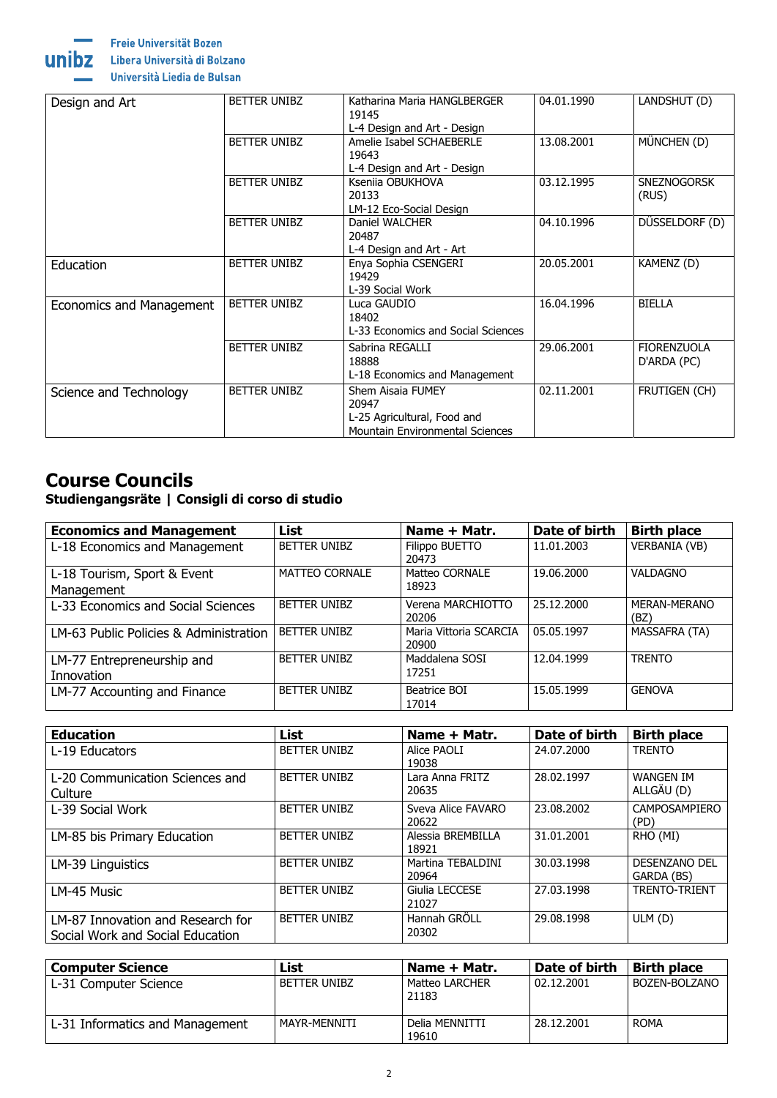



Libera Università di Bolzano

Università Liedia de Bulsan

| BETTER UNIBZ<br>Design and Art |                     | Katharina Maria HANGLBERGER<br>04.01.1990<br>LANDSHUT (D)<br>19145<br>L-4 Design and Art - Design   |            |                                   |
|--------------------------------|---------------------|-----------------------------------------------------------------------------------------------------|------------|-----------------------------------|
|                                | <b>BETTER UNIBZ</b> | Amelie Isabel SCHAEBERLE<br>19643<br>L-4 Design and Art - Design                                    | 13.08.2001 | MÜNCHEN (D)                       |
|                                | BETTER UNIBZ        | Kseniia OBUKHOVA<br>20133<br>LM-12 Eco-Social Design                                                | 03.12.1995 | <b>SNEZNOGORSK</b><br>(RUS)       |
|                                | <b>BETTER UNIBZ</b> | Daniel WALCHER<br>20487<br>L-4 Design and Art - Art                                                 | 04.10.1996 | DÜSSELDORF (D)                    |
| Education                      | BETTER UNIBZ        | Enya Sophia CSENGERI<br>19429<br>L-39 Social Work                                                   | 20.05.2001 | KAMENZ (D)                        |
| Economics and Management       | <b>BETTER UNIBZ</b> | Luca GAUDIO<br>18402<br>L-33 Economics and Social Sciences                                          | 16.04.1996 | <b>BIELLA</b>                     |
|                                | <b>BETTER UNIBZ</b> | Sabrina REGALLI<br>18888<br>L-18 Economics and Management                                           | 29.06.2001 | <b>FIORENZUOLA</b><br>D'ARDA (PC) |
| Science and Technology         | BETTER UNIBZ        | Shem Aisaia FUMEY<br>20947<br>L-25 Agricultural, Food and<br><b>Mountain Environmental Sciences</b> | 02.11.2001 | FRUTIGEN (CH)                     |

# **Course Councils**

## **Studiengangsräte | Consigli di corso di studio**

| <b>Economics and Management</b>           | <b>List</b>           | Name + Matr.                    | Date of birth | <b>Birth place</b>          |
|-------------------------------------------|-----------------------|---------------------------------|---------------|-----------------------------|
| L-18 Economics and Management             | <b>BETTER UNIBZ</b>   | Filippo BUETTO<br>20473         | 11.01.2003    | <b>VERBANIA (VB)</b>        |
| L-18 Tourism, Sport & Event<br>Management | <b>MATTEO CORNALE</b> | Matteo CORNALE<br>18923         | 19.06.2000    | <b>VALDAGNO</b>             |
| L-33 Economics and Social Sciences        | <b>BETTER UNIBZ</b>   | Verena MARCHIOTTO<br>20206      | 25.12.2000    | <b>MERAN-MERANO</b><br>(BZ) |
| LM-63 Public Policies & Administration    | <b>BETTER UNIBZ</b>   | Maria Vittoria SCARCIA<br>20900 | 05.05.1997    | MASSAFRA (TA)               |
| LM-77 Entrepreneurship and<br>Innovation  | <b>BETTER UNIBZ</b>   | Maddalena SOSI<br>17251         | 12.04.1999    | <b>TRENTO</b>               |
| LM-77 Accounting and Finance              | <b>BETTER UNIBZ</b>   | Beatrice BOI<br>17014           | 15.05.1999    | <b>GENOVA</b>               |

| <b>Education</b>                                                      | <b>List</b>         | Name + Matr.                | Date of birth | <b>Birth place</b>                 |
|-----------------------------------------------------------------------|---------------------|-----------------------------|---------------|------------------------------------|
| L-19 Educators                                                        | <b>BETTER UNIBZ</b> | Alice PAOLI<br>19038        | 24.07.2000    | <b>TRENTO</b>                      |
| L-20 Communication Sciences and<br>Culture                            | <b>BETTER UNIBZ</b> | Lara Anna FRITZ<br>20635    | 28.02.1997    | <b>WANGEN IM</b><br>ALLGÄU (D)     |
| L-39 Social Work                                                      | <b>BETTER UNIBZ</b> | Sveva Alice FAVARO<br>20622 | 23.08.2002    | <b>CAMPOSAMPIERO</b><br>(PD)       |
| LM-85 bis Primary Education                                           | <b>BETTER UNIBZ</b> | Alessia BREMBILLA<br>18921  | 31.01.2001    | RHO (MI)                           |
| LM-39 Linguistics                                                     | <b>BETTER UNIBZ</b> | Martina TEBALDINI<br>20964  | 30.03.1998    | <b>DESENZANO DEL</b><br>GARDA (BS) |
| LM-45 Music                                                           | <b>BETTER UNIBZ</b> | Giulia LECCESE<br>21027     | 27.03.1998    | <b>TRENTO-TRIENT</b>               |
| LM-87 Innovation and Research for<br>Social Work and Social Education | <b>BETTER UNIBZ</b> | Hannah GRÖLL<br>20302       | 29.08.1998    | ULM(D)                             |

| <b>Computer Science</b>         | List                | ' Name + Matr.                 | Date of birth | <b>Birth place</b> |
|---------------------------------|---------------------|--------------------------------|---------------|--------------------|
| L-31 Computer Science           | <b>BETTER UNIBZ</b> | <b>Matteo LARCHER</b><br>21183 | 02.12.2001    | BOZEN-BOLZANO      |
| L-31 Informatics and Management | MAYR-MENNITI        | Delia MENNITTI<br>19610        | 28.12.2001    | <b>ROMA</b>        |